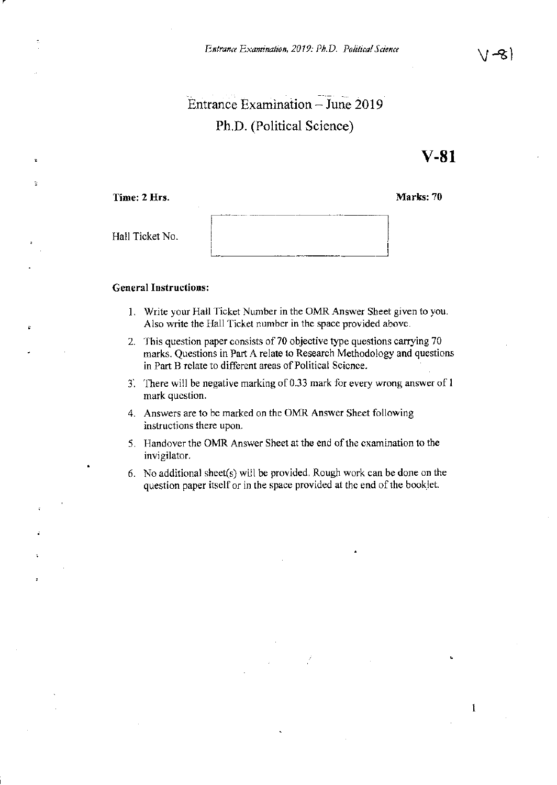# Entrance Examination - June 2019 Ph.D. (Political Science)

## V-81

I

| Time: 2 Hrs.    | Marks: 70 |
|-----------------|-----------|
| Hall Ticket No. |           |

## **General Instructions:**

Ė

- 1. Write your Hall Ticket Number in the OMR Answer Sheet given to you. Also write the Hall Ticket number in the space provided above.
- 2. This question paper consists of 70 objective type questions carrying 70 marks. Questions in Part A relate to Research Methodology and questions in Part B relate to different areas of Political Science.
- 3'. There will be negative marking of 0.33 mark for every wrong answer of I mark question.
- 4. Answers are to be marked on the OMR Answer Sheet following instructions there upon.
- 5. Handover the OMR Answer Sheet at the end of the examination to the invigiiator.
- 6. No additional sheet(s) will be provided. Rough work can be done on the question paper itself or in the space provided at the end of the booklet.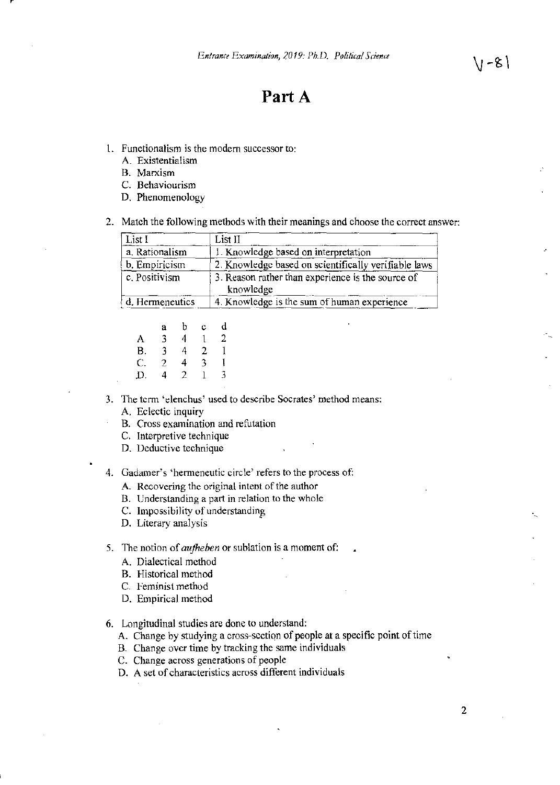## Part A

- 1. Functionalism is the modern successor to:
	- A. Existentialism
	- B. Marxism
	- C. Behaviourism
	- D. Phenomenology
- 2. Match the following methods with their meanings and choose the correct answer:

| List I          | List II                                                        |
|-----------------|----------------------------------------------------------------|
| a. Rationalism  | 1. Knowledge based on interpretation                           |
| b. Empiricism   | 2. Knowledge based on scientifically verifiable laws           |
| c. Positivism   | 3. Reason rather than experience is the source of<br>knowledge |
| d. Hermeneutics | 4. Knowledge is the sum of human experience                    |

|    | a | b | Ć | d |
|----|---|---|---|---|
| A  | 3 | 4 | 1 | 2 |
| В. | 3 | 4 | 2 | 1 |
| С. | 2 | 4 | 3 |   |
| D. | 4 | 2 | 1 | 3 |

3. The tcrm 'elenchus' used to describe Socrates' method means:

- A. Eclectic inquiry
- B. Cross examination and refutation
- C, Interpretive technique
- D. Deductive technique

4. Gadamer's 'hermeneutic circle' refers to the process of:

- A. Recovering the original intent of the author
- B. Understanding a part in relation to the whole
- C. Impossibility of understanding
- D. Literary analysis

### 5. The notion of *aufheben* or sublation is a moment of:

- A. Dialectical mcthod
- B. Historical method
- C. Feminist method
- D. Empirical method

### 6. Longitudinal studies are done to understand:

- A. Change by studying a cross-section of people at a specific point of time
- B. Change over time by tracking the same individuals
- C. Change across generations of people
- D. A set of characteristics across different individuals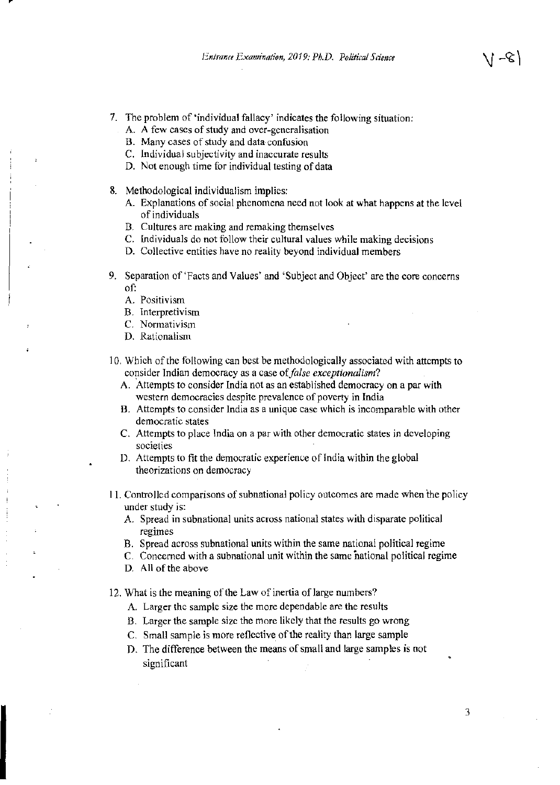- 7. The problem of 'individual fallacy' indicates the following situation:
	- A. A few cascs of study and over-gcneralisation
		- B. Many cases of study and data confusion
		- C. Individual subjectivity and inaccurate results
		- D. Not enough time for individual testing of data
- 8. Methodological individualism implies:
	- A. Explanations of social phenomena need not look at what happens at the level of individuals
	- B. Cultures are making and remaking themselves
	- C. individuals do not follow their cultural values while making decisions
	- D. Collective entities have no reality beyond individual members
- 9. Separation of 'Facts and Values' and 'Subject and Object' are the core concerns of:
	- A. Positivism
	- B. Interpretivism
	- C. Normativism
	- D. Rationalism
- 10. Whieh of the following can best be methodologically associated with attempts to consider Indian democracy as a case of *false exceptionalism*?
	- A. Attempts to consider India not as an established democracy on a par with western democracies despite prevalence of poverty in India
	- B. Attempts to consider India as a unique case which is incomparable with other democratic states
	- C. Attempts to place India on a par with other democratic states in developing societies
	- D. Attempts to fit the democratic experience of India within the global theorizations on democracy
- II. Controlled comparisons of subnational policy outcomes are made when the policy under study is:
	- A. Spread in subnational units across national states with disparate political regimes
	- B. Spread across subnational units within the same national political regime
	- C. Concerned with a subnational unit within the same national political regime
	- D. All of the above
- 12. What is the meaning of the Law of inertia of large numbers?
	- A. Larger the sample size the more dependable are the results
	- B. Larger the sample size the more likely that the results go wrong
	- C. Small sample is more reflective of the reality than large sample
	- D. The difference between the means of small and large samples is not significant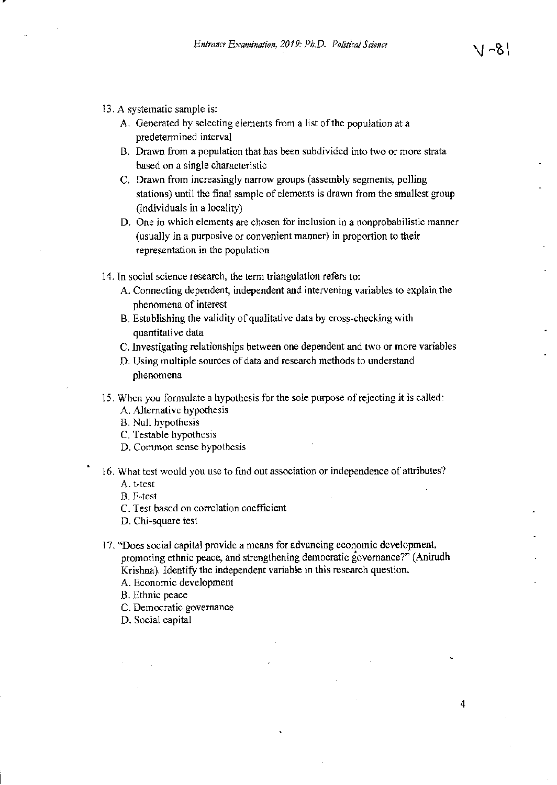18- 1/

4

- 13. A systematic sample is:
	- A. Generated by selecting elements from a list of the population at a predetermined interval
	- B. Drawn from a population that has been subdivided into two or more strata based on a single characteristic
	- C. Drawn from increasingly narrow groups (assembly segments, polling stations) until the final sample of elements is drawn from the smallest group (individuals in a locality)
	- D. One in which elements are chosen for inclusion in a nonprobabiiistic manner (usually in a purposive or convenient manner) in proportion to their representation in the population
- 14. Tn social science research, the term triangulation refers to:
	- A. Connecting dependent, independent and intervening variables to explain the phenomena of interest
	- B. Establishing the validity of qualitative data by cross-checking with quantitative data
	- C.lnvestigating relationships between one dependent and two or more variables
	- O. Using multiple sources of data and research methods to understand phenomena
- 15. When you formulate a hypothesis for the sole purpose of rejecting it is called:
	- A. Alternative hypothesis
	- B. Null hypothesis
	- C. Testable hypothesis
	- D. Common sense hypothesis
- 16. What test would you use to find out association or independence of attributes? A. t-test
	- B. F-test
	- C. Test based on correlation coefficient
	- D. Chi-square test
- 17. "Does social capital provide a means for advancing economic development, promoting ethnic peace, and strengthening democratic governance?" (Anirudh Krishna). Identify the independent variable in this research question. A. Economic development
	-
	- B. Ethnic peace
	- C. Democratic governance
	- D. Social capital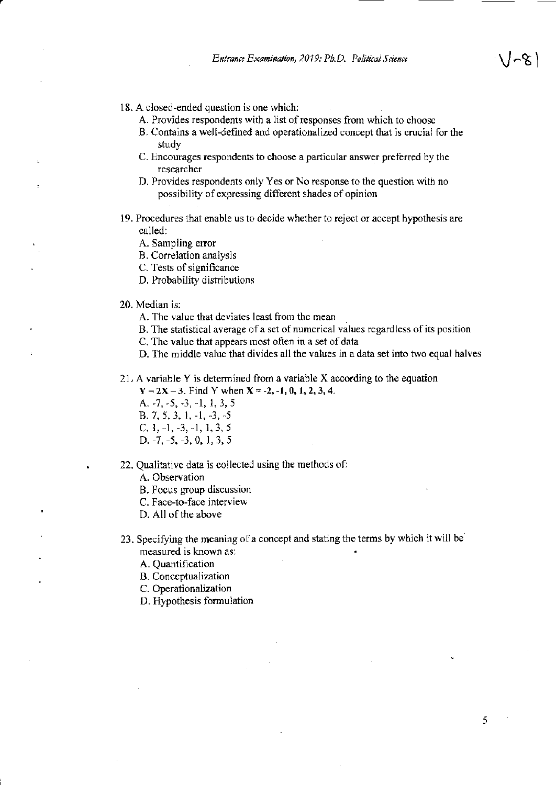- 18. A closed-ended question is one which:
	- A. Provides respondents with a list of responses from which to choosc
	- B. Contains a well-defined and operationalized concept that is crucial for the study
	- C. Encourages respondents to choose a particular answer preferred by the researcher
	- D. Provides respondents only Yes or No response to the question with no possibility of expressing different shades of opinion
- 19. Procedures that enable us to decide whether to reject or accept hypothesis are called:
	- A. Sampling error
	- B. Correlation analysis
	- C. Tests of significance
	- D. Probability distributions
- 20. Median is:
	- A. The value that deviates least from the mean
	- B. The statistical average of a set of numerical values regardless of its position
	- C. The value that appears most often in a set of data
	- D. The middle value that divides all the values in a data set into two equal halves

21, A variable Y is determined from a variable X according to the equation

 $Y = 2X - 3$ . Find Y when  $X = -2, -1, 0, 1, 2, 3, 4$ .

- A. -7, -5, -3, -1, 1, 3, 5 B. 7, 5, 3, I, -1, -3,-5
- C,  $1, -1, -3, -1, 1, 3, 5$
- D. -7, -5, -3, 0, 1,3,5
- 22. Qualitative data is collected using the methods of:
	- A. Observation
	- B. Focus group discussion
	- C. Face-to-face interview
	- D. All of the above
- 23. Specifying the meaning of a concept and stating the terms by which it will be measured is known as:
	- A. Quantification
	- B. Conceptualization
	- C. Operationalization
	- D. Hypothesis formulation

 $\left(1-\alpha\right)$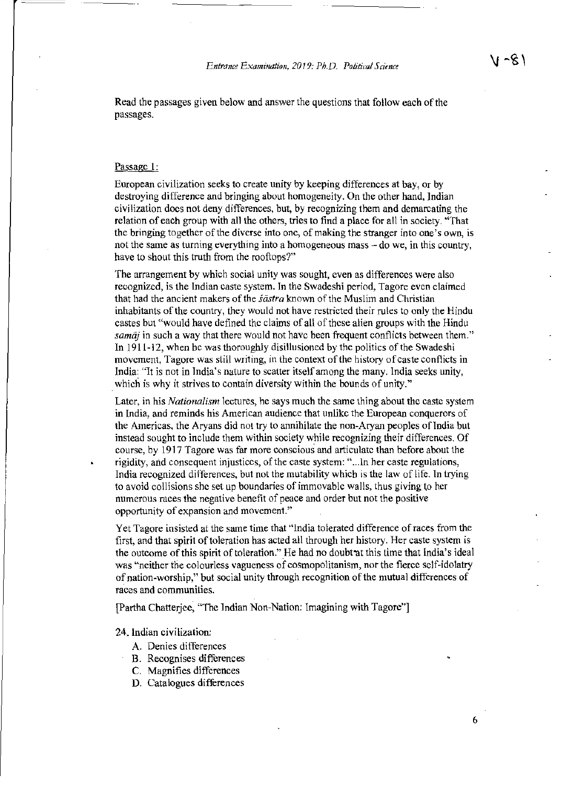Read the passages given below and answer the questions that follow each of the passages.

#### Passage 1:

European civilization seeks to create unity by keeping differences at bay, or by destroying difference and bringing about homogeneity. On the other hand, Indian civilization docs not deny differences, but, by recognizing them and demarcating the relation of each group with all the others, tries to find a place for all in society. "That the bringing together of the diverse into one, of making the stranger into one's own, is not the same as turning everything into a homogeneous mass - do we, in this country, have to shout this truth from the rooftops?"

The arrangement by which social unity was sought, cven as differences were also recognized, is the Indian caste system. In the Swadeshi period, Tagore even claimed that had the ancient makers of the *sastra* known of the Muslim and Christian inhabitants of the country, they would not have restricted their rules to only the Hindu castes but "would have defined the claims of all of these alien groups with the Hindu *samāj* in such a way that there would not have been frequent conflicts between them." In 1911-12, when he was thoroughly disillusioned by the politics of the Swadeshi movement, Tagore was still writing, in the context of the history of caste conflicts in India: "It is not in India's nature to scatter itself among the many. India seeks unity, which is why it strives to contain diversity within the bounds of unity."

Later, in his *Nationalism* lectures, he says much the same thing about the caste system in India, and reminds his American audience that unlike the European conquerors of the Americas, the Aryans did not try to annihilate the non-Aryan peoples of India but instead sought to include them within society while recognizing their differences. Of course, by 1917 Tagore was far more conscious and articulate than before about the rigidity, and consequent injustices, of the caste system: " ... In her caste regulations, India recognized differences, but not the mutability which is the law of life. In trying to avoid collisions she set up boundaries of immovable walls, thus giving to her numerous races the negative benefit of peace and order but not the positive opportunity of expansion and movement."

Yet Tagore insisted at the same time that "india tolerated difference ofraces from the first, and that spirit of toleration has acted all through her history. Her caste system is the outcome of this spirit of toleration." He had no doubt at this time that India's ideal was "neither the colourless vagueness of cosmopolitanism, nor the fierce self-idolatry of nation-worship," but social unity through recognition of the mutual differences of races and communities.

[Partha Chatterjee, "The Indian Non-Nation: Imagining with Tagore"]

### 24. Indian civilization:

- A. Denies differences
- B. Recognises differences
- C. Magnifies differences
- D, Catalogues differences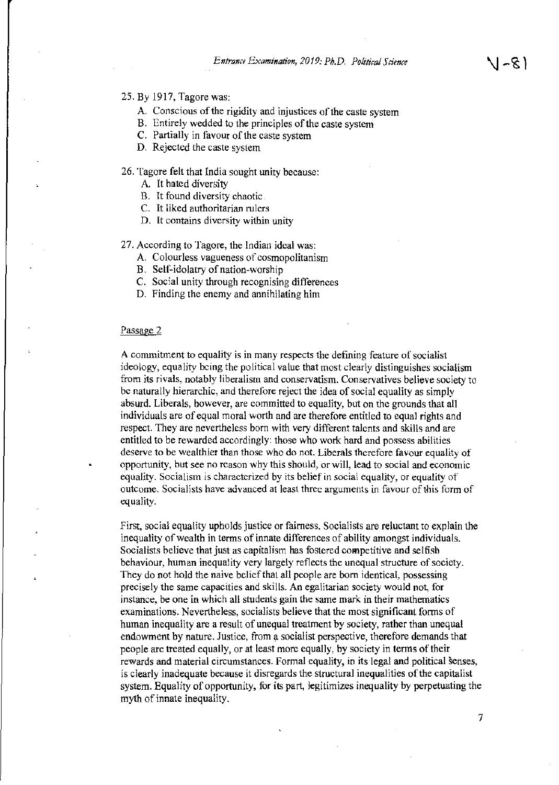25. By 1917, Tagore was:

- A. Conscious of the rigidity and injustices of the caste system
- B. Entirely wedded to the principles of the caste system
- C. Partially in favour of the caste system
- D. Rejected the caste system

## 26. Tagore felt that India sought unity because:

- A. It hated diversity
- B. It found diversity chaotic.
- C. It liked authoritarian rulers
- D. It contains diversity within unity

#### 27. According to Tagore, the Indian ideal was:

- A. Colourless vagueness of cosmopolitanism
- B. Self-idolatry of nation-worship
- C. Social unity through recognising differences
- D. Finding the enemy and annihilating him

#### Passage 2

A commitment to equality is in many respects the defining feature of socialist ideology, equality being the political value that most clearly distinguishes socialism from its rivals, notably liberalism and conservatism. Conservatives believe society to be naturally hierarchic, and therefore reject the idea of social equality as simply absurd. Liberals, however, are committed to equality, but on the grounds that all individuals are of equal moral worth and are therefore entitled to equal rights and respect. They arc nevertheless born with very different talents and skills and are entitled to be rewarded accordingly: those who work hard and possess abilities deserve to be wealthier than those who do not. Liberals therefore favour equality of opportunity, but see no reason why this should, or will, lead to social and economic equality. Socialism is characterized by its belief in social equality, or equality of outcome. Socialists have advanced at least three arguments in favour of this form of equality.

First, social equality upholds justice or fairness. Socialists are reluctant to explain the inequality of wealth in terms of innate differences of ability amongst individuals. Socialists believe that just as capitalism has fostered competitive and selfish behaviour, human inequality very largely reflects the unequal structure of society. They do not hold the naive belief that all people are born identical, possessing precisely the same capacities and skills. An egalitarian society would not, for instance, be one in which all students gain the same mark in their mathematics examinations. Nevertheless, socialists believe that the most significant forms of human inequality are a result of unequal treatment by society, rather than unequal endowment by nature. Justice, from a socialist perspective, therefore demands that people are treated equally, or at least more equally, by society in terms of their rewards and material circumstances. Formal equality, in its legal and political Senses, is clearly inadequate because it disregards the structural inequalities ofthe capitalist system. Equality of opportunity, for its part, legitimizes inequality by perpetuating the myth of innate inequality.

(8-V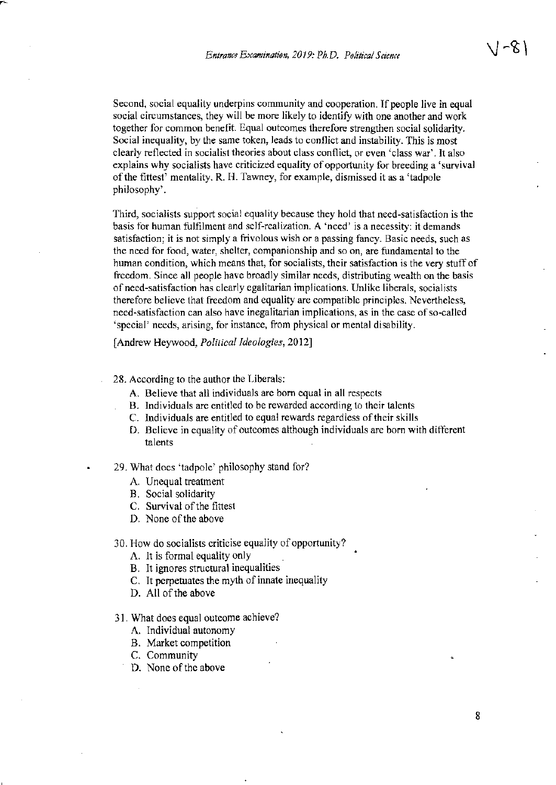Second, social equality underpins community and cooperation. If people live in equal social circumstances, they will be more likely to identify with one another and work together for common benefit. Equal outcomes therefore strengthen social solidarity. Social inequality, by the same token, leads to conflict and instability. This is most clearly reflected in socialist theories about class contlict, or even 'class war'. It also explains why socialists have criticized equality of opportunity for breeding a 'survival of the fittest' mentality. R. H. Tawney, for example, dismissed it as a 'tadpole philosophy'.

Third, socialists support social equality because they hold that need-satisfaction is the basis for human fulfilment and self-realization. A 'need' is a necessity: it demands satisfaction; it is not simply a frivolous wish or a passing fancy. Basic needs, such as the need for food, water, shelter, companionship and so on, are fundamental to the human condition, which means that, for socialists, their satisfaction is the very stuff of freedom. Since all people have broadly similar needs, distributing wealth on the basis of need-satisfaction has clearly egalitarian implications. Unlike liberals, socialists therefore believe that freedom and equality are compatible principles. Nevertheless, need-satisfaction can also have inegalitarian implications, as in the case of so-called 'special' needs, arising, for instance, from physical or mental disability.

[Andrew Heywood, *Political Ideologies, 2012]* 

- 28. According to the author the Liberals:
	- A. Believe that all individuals are born equal in all respects
	- B. Individuals are entitled to be rewarded according 10 their talents
	- C. Individuals are entitled to equal rewards regardless of their skills
	- D. Believe in equality of outcomes although individuals are bom with different talents
- 29. What does 'tadpole' philosophy stand for?
	- A. Unequal treatment
	- B. Social solidarity

c-

- C. Survival of the fittest
- D. None of the above
- 30. How do socialists criticise equality of opportunity?
	- A. It is formal equality only
	- B. It ignores structural inequalities
	- C. It perpetuates the myth of innate inequality
	- D. All of the above
- 31. What does equal outcome achieve?
	- A. Individual autonomy
	- B. Market competition
	- C. Community
	- D. None of the above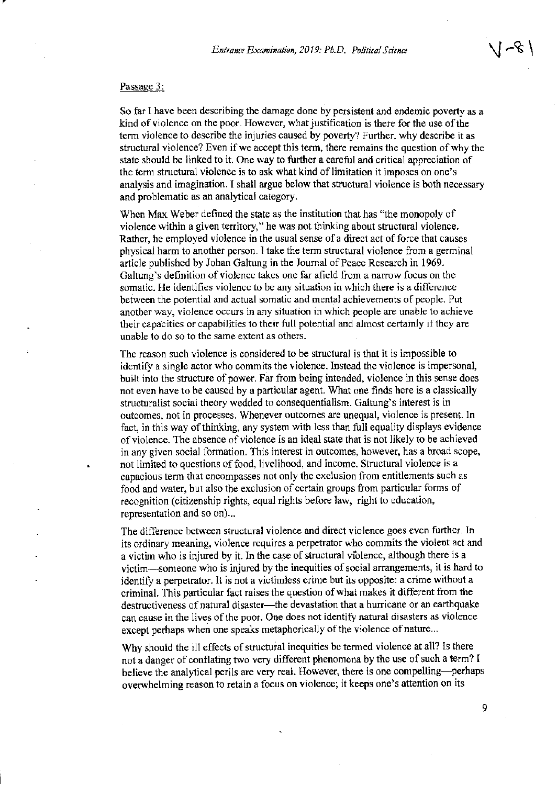#### Passage 3:

So far I have been describing the damage done by persistent and endemic poverty as a kind of violence on the poor. However, what justification is there for the use of the term violence to describe the injuries caused by poverty? Further, why describe it as structural violence? Even if we accept this term, there remains the question of why the state should be linked to it. One way to further a careful and critical appreciation of the term structural violence is to ask what kind of limitation it imposes on one's analysis and imagination. I shall argue below that structural violence is both necessary and problematic as an analytical category.

When Max Weber defined the state as the institution that has "the monopoly of violence within a given territory," he was not thinking about structural violence. Rather, he employed violence in the usual sense of a direct act of force that causes physical harm to another person. 1 take the term structural violence from a germinal article published by Johan GaJtung in the Journal of Peace Research in 1969. Galtung's definition of violence takes one far afield from a narrow focus on the somatic. He identifies violence to be any situation in which there is a difference between the potential and actual somatic and mental achievements of people. Put another way, violence occurs in any situation in which people are unable to achieve their capacities or capabilities to their full potential and almost certainly if they are unable to do so to the same extent as others.

The rcason such violence is considered to be structural is that it is impossible to identify a single actor who commits the violence. Instead the violence is impersonal, built into the structure of power. Far from being intended, violence in this sense does not even have to be causcd by a particular agent. What one finds hcre is a classically structuralist social theory wedded to consequentialism. Gaitung's interest is in outcomes, not in processes. Whenever outcomes are unequal, violence is present. In fact, in this way of thinking, any system with Icss than full equality displays evidence of violence. The absence of violence is an ideal state that is not likely to be achieved in any given social formation. This interest in outcomes, however, has a broad scope, not limited to questions of food, livelihood, and income. Structural violence is a capacious term that encompasses not only the exclusion from entitlements such as food and water, but also the exclusion of certain groups from particular fonns of recognition (citizenship rights, equal rights before law, right to education, representation and so on)...

The difference between structural violence and direct violence goes even further. In its ordinary meaning, violence requires a perpetrator who commits the violent act and a victim who is injured by it. In the case of structural violence, although there is a victim-someone who is injured by the inequities of social arrangements, it is hard to identify a perpetrator. It is not a victimless crime but its opposite: a crime without a criminal. This particular fact raises the question of what makes it different from the destructiveness of natural disaster—the devastation that a hurricane or an earthquake can cause in the lives of the poor. One does not identify natural disasters as violence except perhaps when one speaks metaphorically of the violence of nature...

Why should the ill effects of structural inequities be termed violence at all? Is there not a danger of conflating two very different phenomena by the use of such a term? I believe the analytical perils are very real. However, there is one compelling-perhaps overwhelming reason to retain a focus on violence; it keeps one's attention on its

9

 $1 - 8$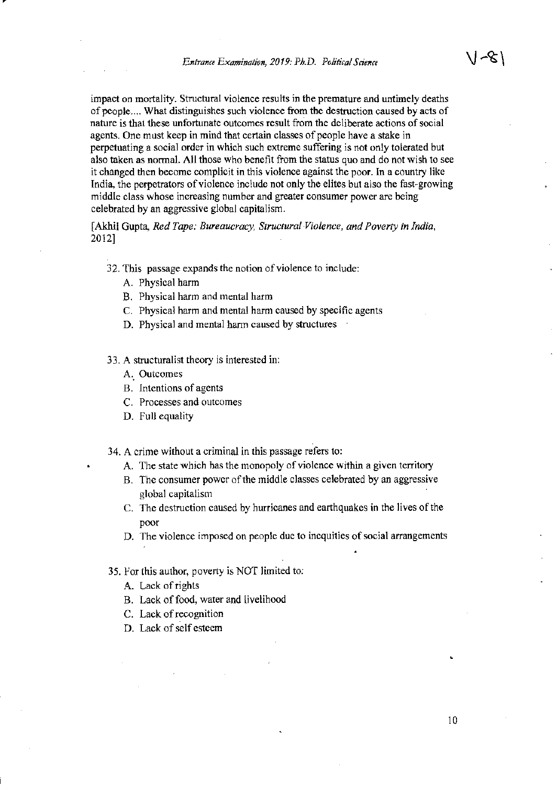impact on mortality. Structural violence results in the premature and untimely deaths of people .... What distinguishes such violence from the destruction caused by acts of nature is that these unfortunate outcomes result from the deliberate actions of social agents. One must keep in mind that certain classes of people have a stake in perpetuating a social order in which such extreme suffering is not only tolerated but also taken as normal. All those who benefit from the status quo and do not wish to see it changed then become complicit in this violence against the poor. In a country like India, the perpetrators of violence include not only the elites but also the fast-growing middle class whose increasing number and greater consumer power are being celebrated by an aggressive global capitalism.

## [Akhil Gupta, *Red Tape: Bureaucracy, Structural Violence, and Poverty in India,*  2012]

- 32. This passage expands the notion of violence to include:
	- A. Physical harm
	- B. Physical harm and mental harm
	- C. Physical harm and mental harm caused by specific agents
	- D. Physical and mental harm caused by structures
- 33. A structuralist theory is interested in:
	- A. Outcomes
	- B. Intentions of agents
	- C. Processes and outcomes
	- D. Full equality

34. A crime without a criminal in this passage refers to:

- A. The state which has the monopoly of violence within a given territory
- B. The consumer power of the middle classes celebrated by an aggressive global capitalism
- C. The destruction caused by hurricanes and earthquakes in the lives of the poor
- D. The violence imposed on people due to incquities of social arrangements
- 35. For this author, poverty is NOT limited to:
	- A. Lack of rights
	- B. Lack of food, water and livelihood
	- C. Lack of recognition
	- D. Lack of self esteem

10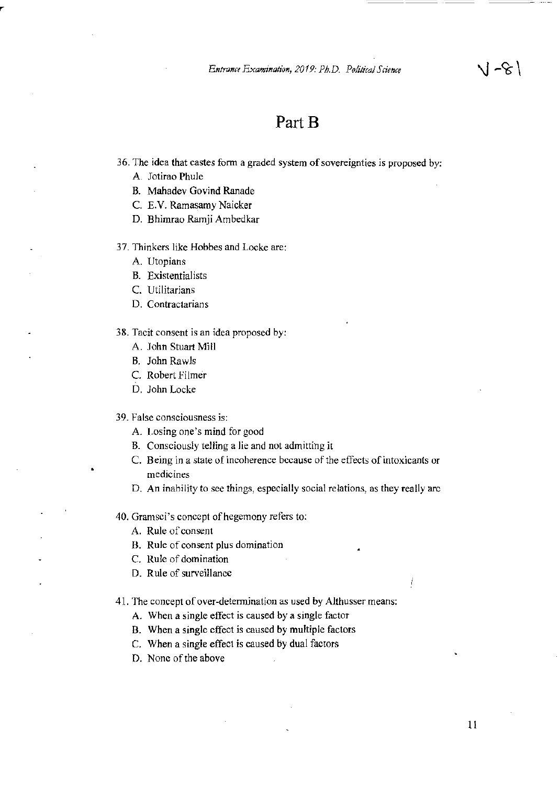## Part<sub>B</sub>

- 36. The idea that castes form a graded system of sovereignties is proposed by:
	- A. Jotirao Phule
	- B. Mahadev Govind Ranade
	- C. E.V. Ramasamy Naicker
	- D. Bhimrao Ramji Ambedkar

#### 37. Thinkers like Hobbes and Locke are:

- A. Utopians
- B. Existentialists
- C. Utilitarians
- D. Contractarians

## 38. Tacit consent is an idea proposed by:

- A. John Stuart Mill
- B. John Rawls
- C. Robert Filmer
- D. *lohn* Locke

39. Paise consciousness is:

- A. Losing one's mind for good
- B. Consciously telling a lie and not admitting it
- C. Being in a state of incoherence because of the effects of intoxicants or medicines
- D. An inability to see things, especially social relations, as they really arc
- 40. Gramsci's concept of hegemony refers to:
	- A. Rule of consent
	- B. Rule of consent plus domination
	- C. Rule of domination
	- D. Rule of surveillance
- 41. The concept of over-detennination as used by Althusser means:
	- A. When a single effect is caused by a single factor
	- B. When a single effect is caused by multiple factors
	- C. When a single effect is caused by dual factors
	- D. None of the above

Ť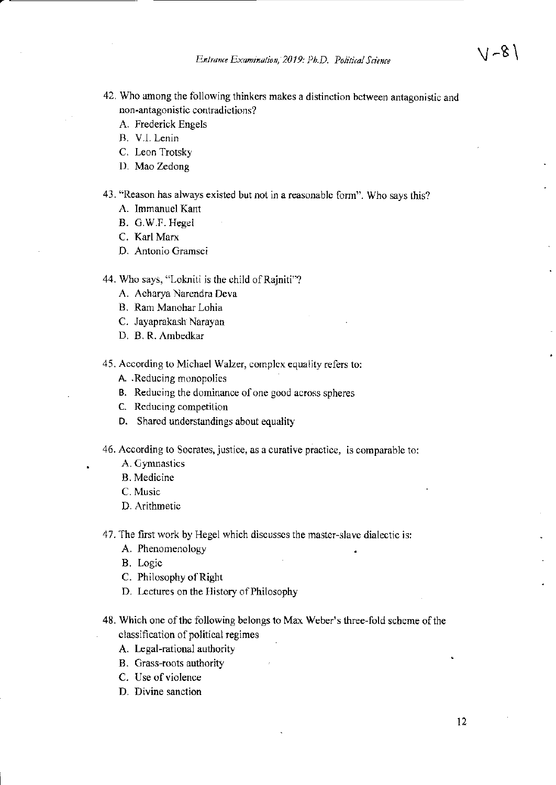- 42. Who among the following thinkers makes a distinction between antagonistic and non-antagonistic contradictions?
	- A. Frederick Engels
	- B. V.1. Lenin

~-----------------------

- C. Leon Trotsky
- D. Mao Zedong
- 43. "Reason has always existed but not in a reasonable form". Who says this?
	- A. Immanuel Kant
	- B. G.W.F. Hegel
	- C. Karl Marx
	- D. Antonio Gramsci
- 44. Who says, "Lokniti is the child of Rajniti"?
	- A. Acharya Narendra Deva
	- B. Ram Manohar Lahia
	- C. Jayaprakash Narayan
	- D. B. R. Ambedkar
- 45. According to Michael Walzer, complex equality refers to:
	- A. .Reducing monopolies
	- B. Reducing the dominance of one good across spheres
	- c. Reducing competition
	- D. Shared understandings about equality
- 46. According to Socrates, justice, as a curative practice, is comparable to:
	- A. Gymnastics
	- B. Medicine
	- C. Music
	- D. Arithmetic
- 47. The first work by Hegel which discusses the master-slave dialectic is:
	- A. Phenomenology
	- B. Logic
	- c. Philosophy of Right
	- D. Lectures on the History of Philosophy
- 48. Which one of the following belongs to Max Weber's three-fold scheme of the classification of political regimes
	- A. Legal-rational authority
	- B. Grass-roots authority
	- C. Use of violence
	- D. Divine sanction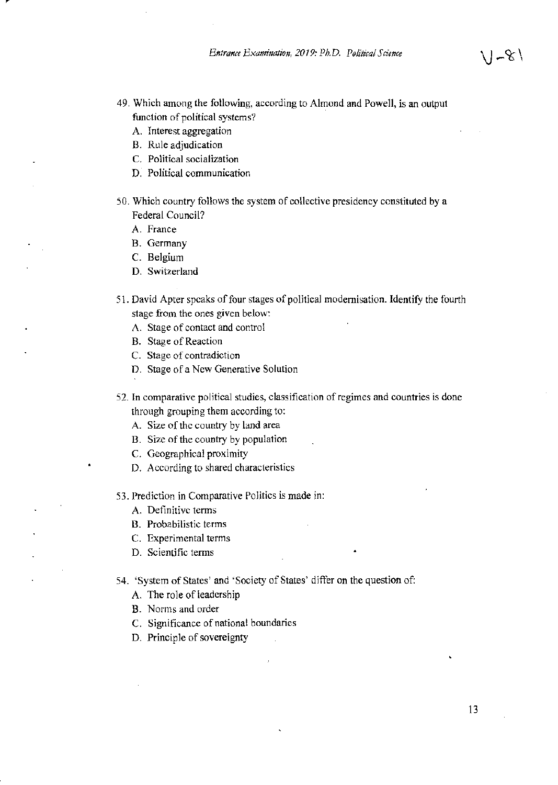- 49. Which among the following, according to Almond and Powell, is an output function of political systems?
	- A. Interest aggregation
	- B. Rule adjudication
	- C. Political socialization
	- D. Political communication
- 50. Which country follows the system of collective presidency constituted by a Federal Council?
	- A. France
	- B. Germany
	- C. Belgium
	- D. Switzerland
- 51. David Apter speaks of four stages of political modernisation. Identify the fourth stage from the ones given below:
	- A. Stage of contact and control
	- 8. Stage of Reaction
	- C. Stage of contradiction
	- D. Stage of a New Generative Solution
- 52. In comparative political studies, classification of regimes and countries is done through grouping them according to:
	- A. Size of the country by land area
	- B. Size of the country by population
	- C. Geographical proximity
	- D. According to shared characteristics

### 53. Prediction in Comparative Politics is made in:

- A. Definitive tcrms
- B. Probabilistic terms
- C. Experimental terms
- D. Scientific terms
- 54. 'System of States' and 'Society of States' differ on the question of:
	- A. The role of leadership
	- B. Norms and order
	- C. Significance of national boundaries
	- D. Principle of sovereignty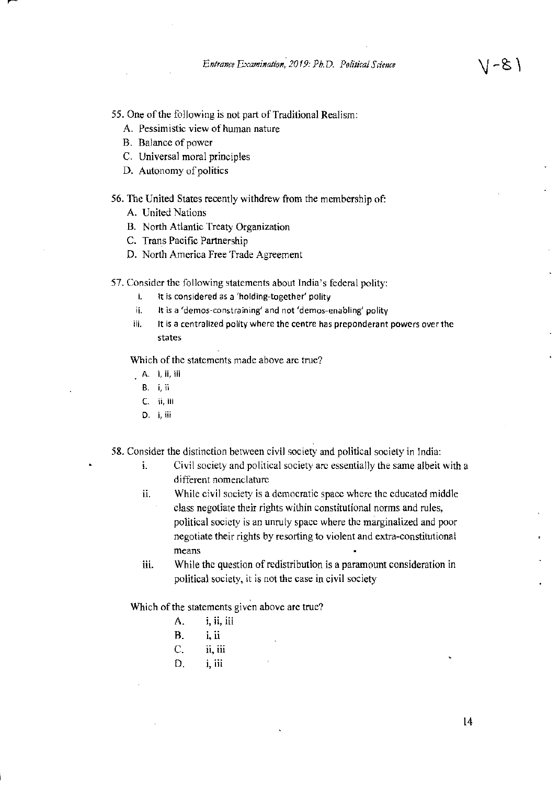- A. Pessimistic view of human nature
- B. Balance of power
- C. Universal moral principles
- D. Autonomy of politics

## 56. The United States recently withdrew from the membership of:

- A. United Nations
- B. North Atlantic Treaty Organization
- C. Trans Pacific Partnership
- D. North America Free Trade Agreement
- 57. Consider the following statements about India's federal polity:
	- i. It is considered as a 'holding-together' polity
	- ii. It is a 'demos-constraining' and not 'demos-enabling' polity
	- iii. It is a centralized polity where the centre has preponderant powers over the states

Which of the statements made above are true?

- $A.$  i, ii, iii
	- B. i, ii
	- C. ii, iii
	- D. i, iii
- 58. Consider the distinction between civil society and political society in India:
	- !. Civil society and political society are essentially the same albeit with a different nomenclature
	- ii. While civil society is a democratic space where the educated middle class negotiate their rights within constitutional norms and rules, political society is an unruly space where the marginalized and poor negotiate their rights by resorting to violent and extra-constitutional means
	- iii. While the question of redistribution is a paramount consideration in political society, it is not the case in civil society

Which of the statements given above are true?

- A. i, ii, iii
- B. i, ii
- C. *ii, iii*
- $D.$  i, iii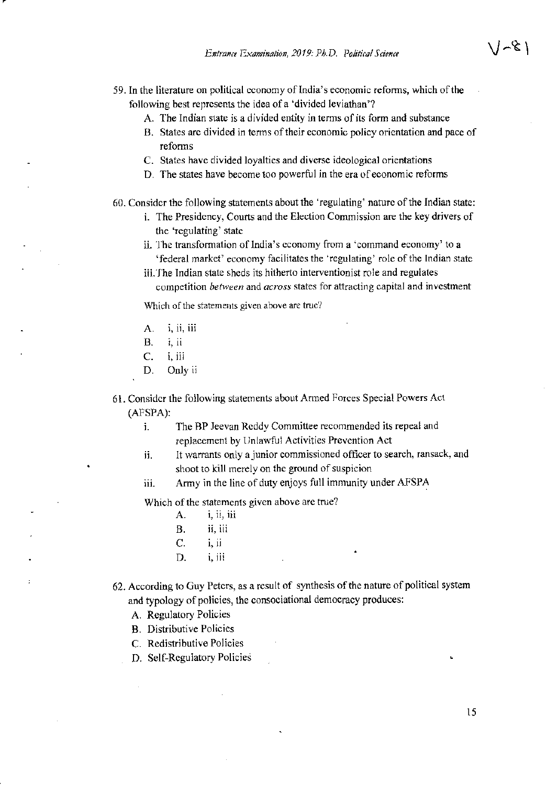(ノータ )

- 59. In the literature on political economy of India's economic reforms, which of the following best represents the idea of a 'divided leviathan'?
	- A. The Indian state is a divided entity in terms of its form and substance
	- B. States arc divided in tenns of their economic policy orientation and pace of reforms
	- C. States have divided loyalties and diverse ideological orientations
	- D. The states have become too powerful in the era of economic reforms
- 60. Consider the following statements about the 'regulating' nature of the Indian state:
	- i. The Presidency, Courts and the Election Commission are the key drivers of the 'regulating' state
	- ii. The transformation of India's economy from a 'command economy' to a 'federal market' economy facilitates the 'regulating' role of the Indian state
	- iii. The Indian state sheds its hitherto interventionist role and regulates competition *between* and *across* states for attracting capital and investment

Which of the statements given above are true?

- A. 1, 11, III
- $B.$  i, ii
- C. i, iii
- D. Only ii
- 61. Consider the following statements about Armed Forces Special Powers Act (AFSPA):
	- 1. The BP Jeevan Reddy Committee recommended its repeal and replacement by Unlawful Activities Prevention Act
	- ii. It warrants only a junior commissioned officer to search, ransack, and shoot to kill merely on the ground of suspicion
	- $iii.$  Army in the line of duty enjoys full immunity under AFSPA

Which of the statements given above are true?

- $A.$  i, ii, iii
- B. ii, iii
- $C.$  i, ii
- $D.$  i, iii
- 62. According to Guy Peters, as a result of synthesis of the nature of political system and typology of policies, the consociational democracy produces:
	- A. Regulatory Policies
	- B. Distributive Policies
	- C. Redistributive Policies
	- D. Self-Regulatory Policies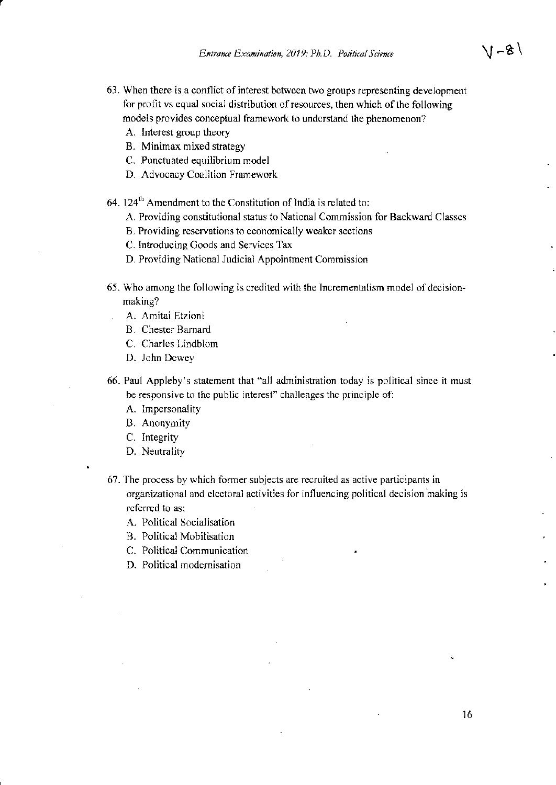- 63. When there is a conflict of interest between two groups representing development for profit vs equal social distribution of resources, then which of the following models provides conceptual framework to understand the phenomenon?
	- A. Interest group theory
	- B. Minimax mixed strategy
	- C. Punctuated equilibrium model
	- D. Advocacy Coalition Framework
- 64.  $124<sup>th</sup>$  Amendment to the Constitution of India is related to:
	- A. Providing constitutional status to National Commission for Backward Classes
	- B. Providing reservations to economically weaker sections
	- C. Introducing Goods and Services Tax
	- D. Providing National Judicial Appointment Commission
- 65. Who among the following is credited with the Incrementalism model of decisionmaking?
	- A. Amitai Etzioni
	- B. Chester Barnard
	- C. Charles I,indblom
	- D. John Dewey
- 66. Paul Appleby's statement that "all administration today is political since it must be responsive to the public interest" challenges the principle of:
	- A. Impersonality
	- B. Anonymity
	- C. Integrity
	- D. Neutrality
- 67. The process by which former subjects are recruited as active participants in organizational and electoral activities for influencing political decision 'making is referred to as:
	- A. Political Socialisation
	- B. Political Mobilisation
	- C. Political Communication
	- D. Political modernisation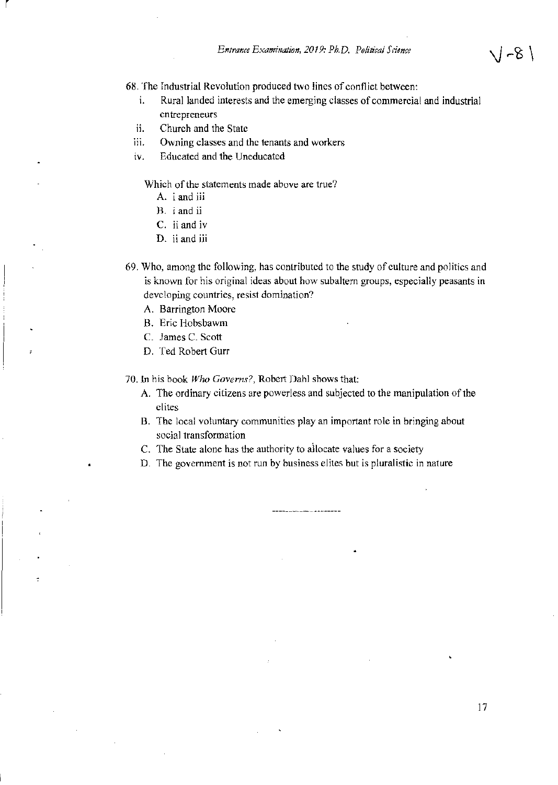6S. The Industrial Revolution produced two lines of conflict between:

- 1. Rural landed interests and the emerging classes of commercial and industrial entrepreneurs
- ii. Church and the State

r

- iii. Owning classes and the tenants and workers
- iv. Educated and the Uneducated

Which of the statements made above are true?

- A. i and iii
- B. i and ii
- C. ii and iv
- D. iiand iii
- 69. Who, among the following, has contributed to the study of culture and politics and is known for his original ideas about how subaltern groups, especially peasants in developing countries, resist domination?
	- A. Barrington Moore
	- B. Eric Hobsbawm
	- C. James C. Scott
	- D. Ted Rohert Gurr

70.10 his book *Who Governs?,* Robert Dahl shows that:

- A. The ordinary citizens are powerless and subjected to the manipulation of the clites
- B. The local voluntary communities play an important role in bringing about social transformation
- C. The State alone has the authority to ailocate values for a society
- D. The government is not run by business elites but is pluralistic in nature

17